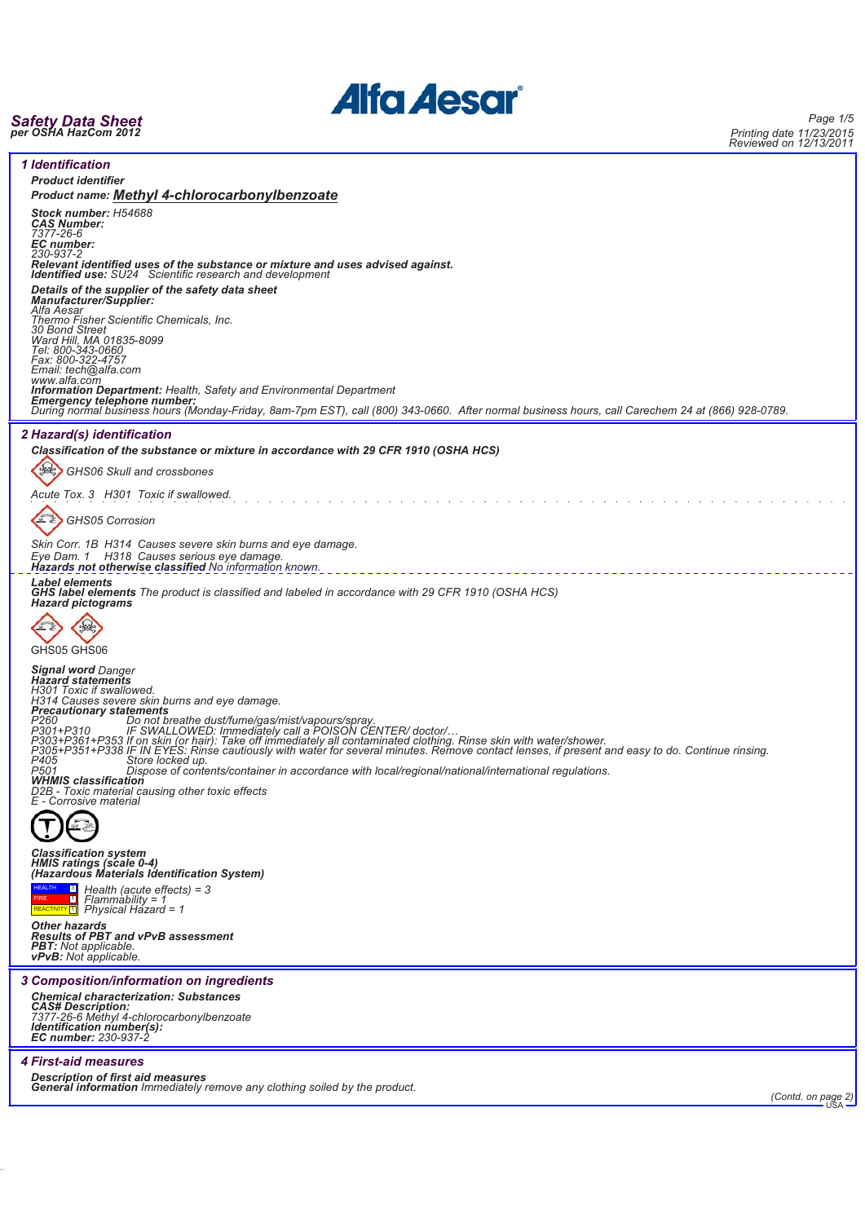

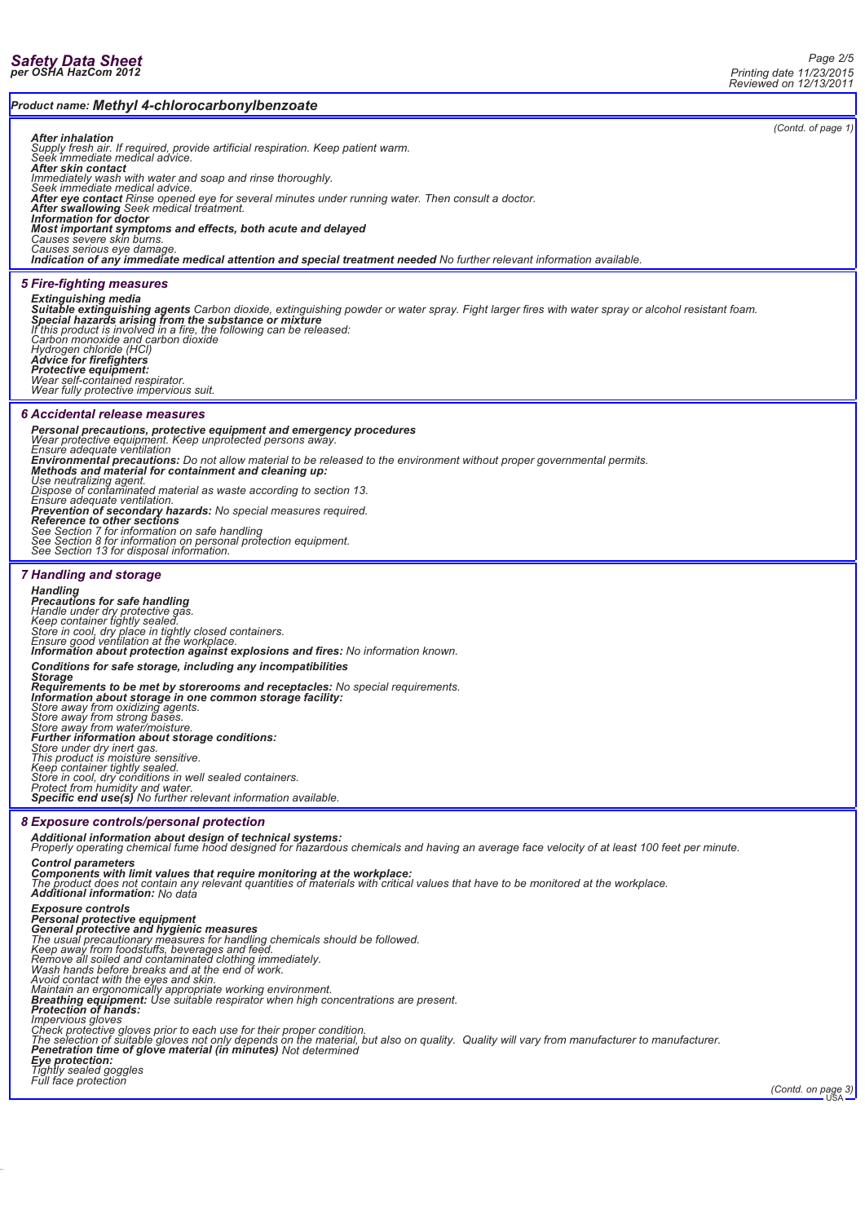*Product name: Methyl 4-chlorocarbonylbenzoate*

# *(Contd. of page 1) After inhalation Supply fresh air. If required, provide artificial respiration. Keep patient warm. Seek immediate medical advice. After skin contact* Immediately wash with water and soap and rinse thoroughly.<br>Seek immediate medical advice.<br>**After eye contact** Rinse opened eye for several minutes under running water. Then consult a doctor.<br>**After swallowing** Seek medical **Most important symptoms and effects, both acute and delayed**<br>Causes severe skin bums.<br>Causes serious eye damage.<br>**Indication of any immediate medical attention and special treatment needed** No further relevant information *5 Fire-fighting measures Extinguishing media* **Suitable extinguishing agents** Carbon dioxide, extinguishing powder or water spray. Fight larger fires with water spray or alcohol resistant foam.<br>**Special hazards arising from the substance or mixture**<br>If this product is *Carbon monoxide and carbon dioxide Hydrogen chloride (HCl) Advice for firefighters Protective equipment: Wear self-contained respirator. Wear fully protective impervious suit. 6 Accidental release measures* **Personal precautions, protective equipment and emergency procedures**<br>Wear protective equipment. Keep unprotected persons away.<br>Ensure adequate ventilation<br>Environmental precautions: Do not allow material to be released to *Use neutralizing agent. Dispose of contaminated material as waste according to section 13. Ensure adequate ventilation.* **Prevention of secondary hazards:** No special measures required.<br>**Reference to other sections**<br>See Section 7 for information on safe handling<br>See Section 8 for information on personal protection equipment.<br>See Section 13 f *7 Handling and storage Handling* **Precautions for safe handling**<br>Handle under dry protective gas.<br>Keep container tightly sealed.<br>Store in cool, dry place in tightly closed containers.<br>Ensure good ventilation at the workplace. *Information about protection against explosions and fires: No information known. Conditions for safe storage, including any incompatibilities Storage* Requirements to be met by storerooms and receptacles: No special requirements.<br>Information about storage in one common storage facility:<br>Store away from oxidizing agents.<br>Store away from strong bases.<br>Store away from water *Store under dry inert gas. This product is moisture sensitive. Keep container tightly sealed. Store in cool, dry conditions in well sealed containers. Protect from humidity and water. Specific end use(s) No further relevant information available. 8 Exposure controls/personal protection Additional information about design of technical systems: Properly operating chemical fume hood designed for hazardous chemicals and having an average face velocity of at least 100 feet per minute. Control parameters* **Components with limit values that require monitoring at the workplace:**<br>The product does not contain any relevant quantities of materials with critical values that have to be monitored at the workplace.<br>**Additional inform** Exposure controls<br>
Exposure controls<br>
General protective equipment<br>
General protective and hygienic measures<br>
The usual precautionary measures for handling chemicals should be followed.<br>
Keep away from foodstuffs, beverage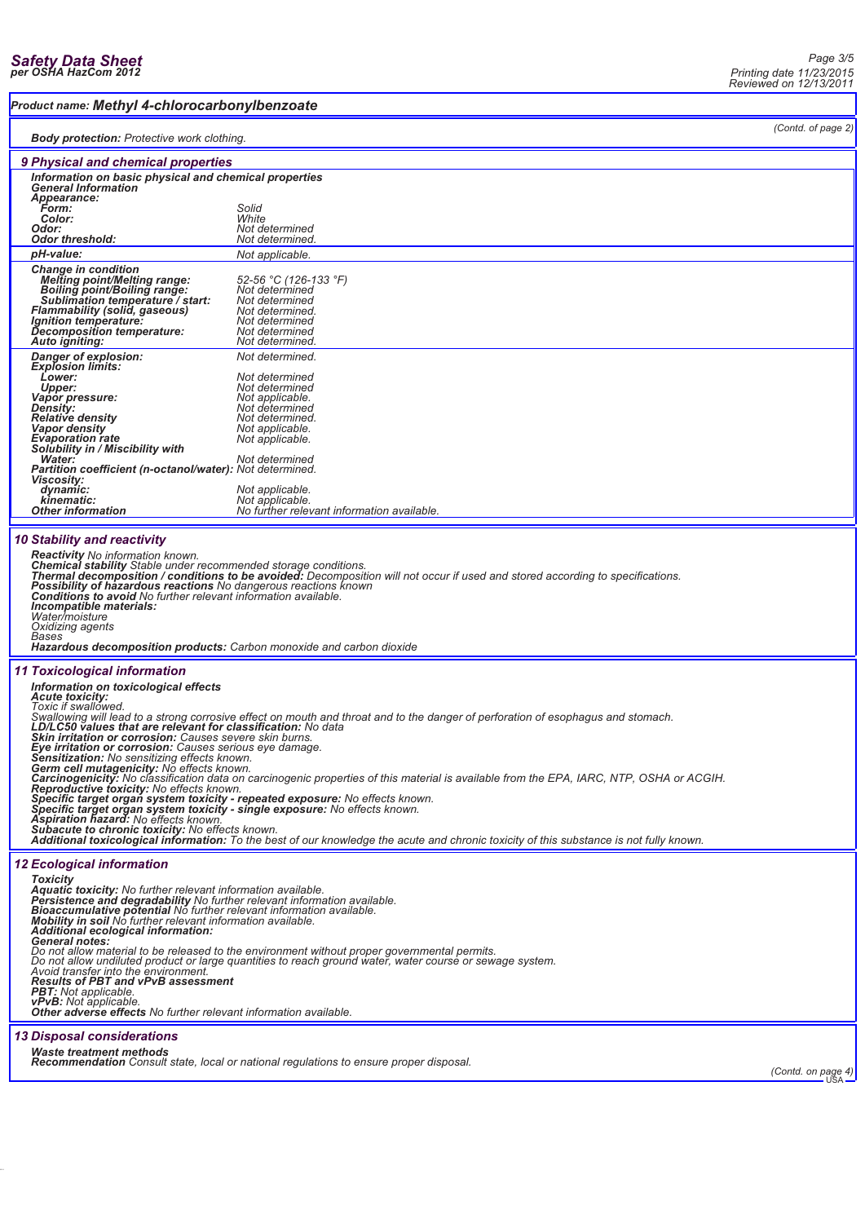### *Product name: Methyl 4-chlorocarbonylbenzoate*

*(Contd. of page 2)*

| (Ounu. or paye z)<br><b>Body protection:</b> Protective work clothing.                                                                                                                                                                                                                                                                                                                                                                                                                                                                                                                                                                                                                                                                                                                                                                                                                                                                                                                                                                                                                                                                                 |                                                                                                                                                                                                   |                    |
|--------------------------------------------------------------------------------------------------------------------------------------------------------------------------------------------------------------------------------------------------------------------------------------------------------------------------------------------------------------------------------------------------------------------------------------------------------------------------------------------------------------------------------------------------------------------------------------------------------------------------------------------------------------------------------------------------------------------------------------------------------------------------------------------------------------------------------------------------------------------------------------------------------------------------------------------------------------------------------------------------------------------------------------------------------------------------------------------------------------------------------------------------------|---------------------------------------------------------------------------------------------------------------------------------------------------------------------------------------------------|--------------------|
| 9 Physical and chemical properties                                                                                                                                                                                                                                                                                                                                                                                                                                                                                                                                                                                                                                                                                                                                                                                                                                                                                                                                                                                                                                                                                                                     |                                                                                                                                                                                                   |                    |
| Information on basic physical and chemical properties<br><b>General Information</b><br>Appearance:<br>Form:<br>Color:<br>Odor:                                                                                                                                                                                                                                                                                                                                                                                                                                                                                                                                                                                                                                                                                                                                                                                                                                                                                                                                                                                                                         | Solid<br>White<br>Not determined                                                                                                                                                                  |                    |
| <b>Odor threshold:</b><br>pH-value:                                                                                                                                                                                                                                                                                                                                                                                                                                                                                                                                                                                                                                                                                                                                                                                                                                                                                                                                                                                                                                                                                                                    | Not determined.<br>Not applicable.                                                                                                                                                                |                    |
| <b>Change in condition</b><br><b>Melting point/Melting range:</b><br>Boiling point/Boiling range:<br>Sublimation temperature / start:<br>Flammability (solid, gaseous)<br><i>Ignition temperature:</i><br>Decomposition temperature:<br>Auto igniting:                                                                                                                                                                                                                                                                                                                                                                                                                                                                                                                                                                                                                                                                                                                                                                                                                                                                                                 | 52-56 °C (126-133 °F)<br>Not determined<br>Not determined<br>Not determined.<br>Not determined<br>Not determined<br>Not determined.                                                               |                    |
| Danger of explosion:<br><b>Explosion limits:</b><br>Lower:<br>Upper:<br>Vapor pressure:<br><b>Density:</b><br><b>Relative density</b><br>Vapor density<br><b>Evaporation rate</b><br>Solubility in / Miscibility with<br>Water:                                                                                                                                                                                                                                                                                                                                                                                                                                                                                                                                                                                                                                                                                                                                                                                                                                                                                                                        | Not determined.<br>Not determined<br>Not determined<br>Not applicable.<br>Not determined<br>Not determined.<br>Not applicable.<br>Not applicable.<br>Not determined                               |                    |
| Partition coefficient (n-octanol/water): Not determined.<br><b>Viscosity:</b><br>dynamic:<br>kinematic:<br><b>Other information</b>                                                                                                                                                                                                                                                                                                                                                                                                                                                                                                                                                                                                                                                                                                                                                                                                                                                                                                                                                                                                                    | Not applicable.<br>Not applicable.<br>No further relevant information available.                                                                                                                  |                    |
| <b>10 Stability and reactivity</b><br><b>Reactivity</b> No information known.<br>Possibility of hazardous reactions No dangerous reactions known<br><b>Conditions to avoid No further relevant information available.</b><br>Incompatible materials:<br>Water/moisture<br>Oxidizing agents<br>Bases<br><b>Hazardous decomposition products:</b> Carbon monoxide and carbon dioxide                                                                                                                                                                                                                                                                                                                                                                                                                                                                                                                                                                                                                                                                                                                                                                     | Chemical stability Stable under recommended storage conditions.<br>Thermal decomposition / conditions to be avoided: Decomposition will not occur if used and stored according to specifications. |                    |
| <b>11 Toxicological information</b><br>Information on toxicological effects<br><b>Acute toxicity:</b><br>Toxic if swallowed.<br>Swallowing will lead to a strong corrosive effect on mouth and throat and to the danger of perforation of esophagus and stomach.<br>LD/LC50 values that are relevant for classification: No data<br>Skin irritation or corrosion: Causes severe skin burns.<br>Eye irritation or corrosion: Causes serious eye damage.<br>Sensitization: No sensitizing effects known.<br><b>Germ cell mutagenicity: No effects known.</b><br>Carcinogenicity: No classification data on carcinogenic properties of this material is available from the EPA, IARC, NTP, OSHA or ACGIH.<br>Reproductive toxicity: No effects known.<br>Specific target organ system toxicity - repeated exposure: No effects known.<br>Specific target organ system toxicity - single exposure: No effects known.<br>Aspiration hazard: No effects known.<br>Subacute to chronic toxicity: No effects known.<br>Additional toxicological information: To the best of our knowledge the acute and chronic toxicity of this substance is not fully known. |                                                                                                                                                                                                   |                    |
| <b>12 Ecological information</b><br><b>Toxicity</b><br>Aquatic toxicity: No further relevant information available.<br>Persistence and degradability No further relevant information available.<br>Bioaccumulative potential No further relevant information available.<br><b>Mobility in soil</b> No further relevant information available.<br>Additional ecological information:<br>General notes:<br>Do not allow material to be released to the environment without proper governmental permits.<br>Do not allow undiluted product or large quantities to reach ground water, water course or sewage system.<br>Avoid transfer into the environment.<br><b>Results of PBT and vPvB assessment</b><br>PBT: Not applicable.<br>vPvB: Not applicable.<br>Other adverse effects No further relevant information available.                                                                                                                                                                                                                                                                                                                            |                                                                                                                                                                                                   |                    |
| <b>13 Disposal considerations</b><br><b>Waste treatment methods</b>                                                                                                                                                                                                                                                                                                                                                                                                                                                                                                                                                                                                                                                                                                                                                                                                                                                                                                                                                                                                                                                                                    | <b>Recommendation</b> Consult state, local or national regulations to ensure proper disposal.                                                                                                     | (Contd. on page 4) |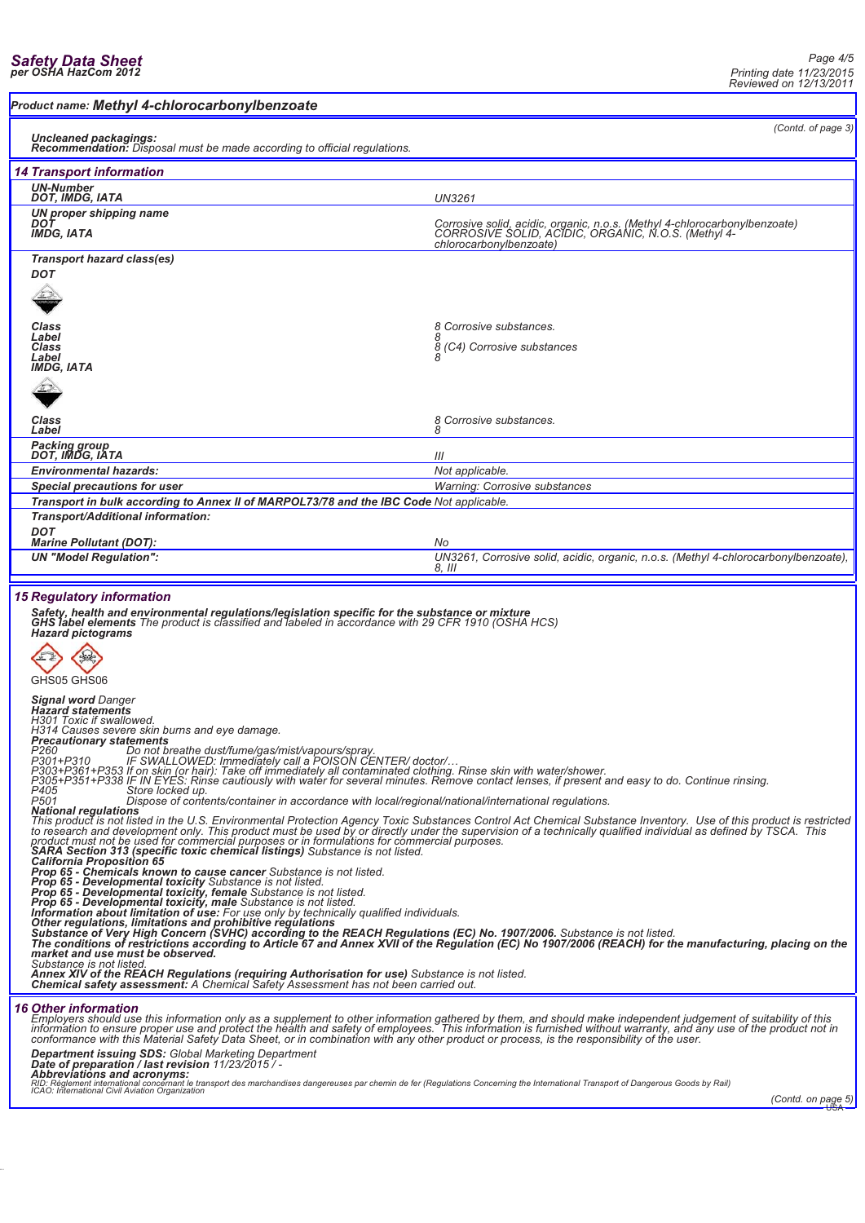### *Product name: Methyl 4-chlorocarbonylbenzoate*

*(Contd. of page 3)*

#### *Uncleaned packagings:*

| <b>Recommendation:</b> Disposal must be made according to official regulations.                                                                                                                                                                                      |                                                                                                                                                              |  |
|----------------------------------------------------------------------------------------------------------------------------------------------------------------------------------------------------------------------------------------------------------------------|--------------------------------------------------------------------------------------------------------------------------------------------------------------|--|
| <b>14 Transport information</b>                                                                                                                                                                                                                                      |                                                                                                                                                              |  |
| <b>UN-Number</b><br>DOT, IMDG, IATA                                                                                                                                                                                                                                  | UN3261                                                                                                                                                       |  |
| UN proper shipping name<br>DOT<br><b>IMDG, IATA</b>                                                                                                                                                                                                                  | Corrosive solid, acidic, organic, n.o.s. (Methyl 4-chlorocarbonylbenzoate)<br>CORROSIVE SOLID, ACIDIC, ORGANIC, N.O.S. (Methyl 4-<br>chlorocarbonylbenzoate) |  |
| Transport hazard class(es)                                                                                                                                                                                                                                           |                                                                                                                                                              |  |
| <b>DOT</b>                                                                                                                                                                                                                                                           |                                                                                                                                                              |  |
|                                                                                                                                                                                                                                                                      |                                                                                                                                                              |  |
| Class<br>Label                                                                                                                                                                                                                                                       | Corrosive substances.                                                                                                                                        |  |
| Class                                                                                                                                                                                                                                                                | 8 (C4) Corrosive substances                                                                                                                                  |  |
| Label<br><b>IMDG, IATA</b>                                                                                                                                                                                                                                           |                                                                                                                                                              |  |
|                                                                                                                                                                                                                                                                      |                                                                                                                                                              |  |
| Class<br>Label                                                                                                                                                                                                                                                       | 8 Corrosive substances.<br>8                                                                                                                                 |  |
| <b>Packing group<br/>DOT, IMDG, IATA</b>                                                                                                                                                                                                                             | III                                                                                                                                                          |  |
| <b>Environmental hazards:</b>                                                                                                                                                                                                                                        | Not applicable.                                                                                                                                              |  |
| Special precautions for user                                                                                                                                                                                                                                         | <b>Warning: Corrosive substances</b>                                                                                                                         |  |
| Transport in bulk according to Annex II of MARPOL73/78 and the IBC Code Not applicable.                                                                                                                                                                              |                                                                                                                                                              |  |
| Transport/Additional information:                                                                                                                                                                                                                                    |                                                                                                                                                              |  |
| <b>DOT</b><br><b>Marine Pollutant (DOT):</b>                                                                                                                                                                                                                         | No                                                                                                                                                           |  |
| <b>UN "Model Regulation":</b>                                                                                                                                                                                                                                        | UN3261, Corrosive solid, acidic, organic, n.o.s. (Methyl 4-chlorocarbonylbenzoate),<br>$8.$ III                                                              |  |
| <b>15 Regulatory information</b><br>Safety, health and environmental regulations/legislation specific for the substance or mixture<br>GHS label elements The product is classified and labeled in accordance with 29 CFR 1910 (OSHA HCS)<br><b>Hazard pictograms</b> |                                                                                                                                                              |  |

GHS05 GHS06

*Signal word Danger Hazard statements H301 Toxic if swallowed.*

*H314 Causes severe skin burns and eye damage.*

**Precautionary statements**<br>P260 - Do not breathe dust/fume/gas/mist/vapours/spray.<br>P301+P310 - IF SWALLOWED: Immediately call a POISON CENTER/ doctor/...<br>P303+P361+P353 If on skin (or hair): Take off immediately all contam

National regulations<br>This product is not listed in the U.S. Environmental Protection Agency Toxic Substances Control Act Chemical Substance Inventory. Use of this product is restricted<br>to research and development only. Thi

Substance is not listed.<br>**Annex XIV of the REACH Regulations (requiring Authorisation for use)** Substance is not listed.<br>**Chemical safety assessment:** A Chemical Safety Assessment has not been carried out.

*16 Other information*

Or the minimum and this information only as a supplement to other information gathered by them, and should make independent judgement of suitability of this<br>information to ensure proper use and protect the health and safet

**Department issuing SDS:** Global Marketing Department<br>**Date of preparation / last revision** 11/23/2015 / -<br>Abbreviations and acronyms:<br>ICAO: Intemational Civil Aviation Organization<br>ICAO: Intemational Civil Aviation Organi